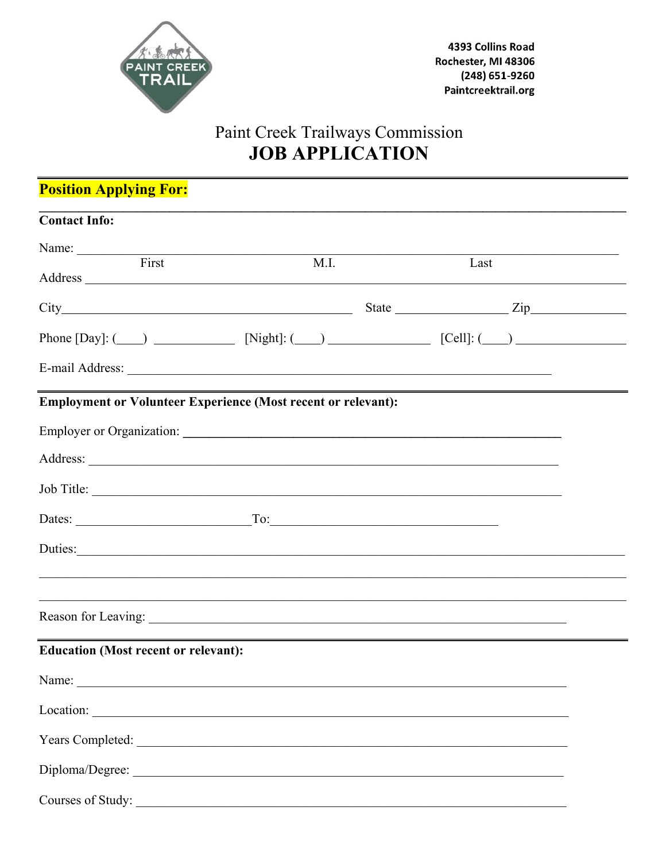

# Paint Creek Trailways Commission<br>JOB APPLICATION

| <b>Position Applying For:</b>                                                 |                                                                                   |      |  |
|-------------------------------------------------------------------------------|-----------------------------------------------------------------------------------|------|--|
| <b>Contact Info:</b>                                                          |                                                                                   |      |  |
| Name: First                                                                   | M.I.                                                                              | Last |  |
|                                                                               |                                                                                   |      |  |
| Phone [Day]: $\qquad \qquad$ [Night]: $\qquad \qquad$ [Cell]: $\qquad \qquad$ |                                                                                   |      |  |
|                                                                               |                                                                                   |      |  |
| <b>Employment or Volunteer Experience (Most recent or relevant):</b>          |                                                                                   |      |  |
|                                                                               |                                                                                   |      |  |
|                                                                               |                                                                                   |      |  |
|                                                                               |                                                                                   |      |  |
| Dates: $\qquad \qquad \qquad \qquad \qquad \qquad \text{To:}$                 |                                                                                   |      |  |
| Duties:                                                                       |                                                                                   |      |  |
|                                                                               |                                                                                   |      |  |
|                                                                               | ,我们也不能在这里的人,我们也不能在这里的人,我们也不能在这里的人,我们也不能在这里的人,我们也不能在这里的人,我们也不能在这里的人,我们也不能在这里的人,我们也 |      |  |
| <b>Education (Most recent or relevant):</b>                                   |                                                                                   |      |  |
|                                                                               |                                                                                   |      |  |
| Location:                                                                     |                                                                                   |      |  |
|                                                                               |                                                                                   |      |  |
|                                                                               |                                                                                   |      |  |
| Courses of Study:                                                             |                                                                                   |      |  |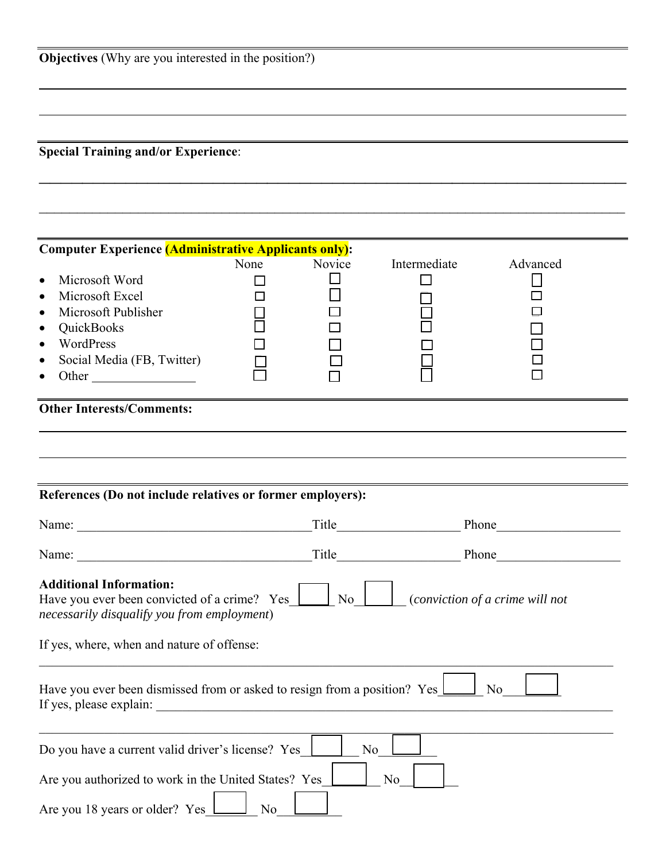|  |  | <b>Objectives</b> (Why are you interested in the position?) |  |  |
|--|--|-------------------------------------------------------------|--|--|
|--|--|-------------------------------------------------------------|--|--|

**Special Training and/or Experience**:

| <b>Computer Experience (Administrative Applicants only):</b>                                                                                                                                                                                               |                |                |                                   |                |
|------------------------------------------------------------------------------------------------------------------------------------------------------------------------------------------------------------------------------------------------------------|----------------|----------------|-----------------------------------|----------------|
| Microsoft Word<br>$\bullet$<br>Microsoft Excel<br>$\bullet$<br>Microsoft Publisher<br>QuickBooks<br>WordPress<br>Social Media (FB, Twitter)<br>Other                                                                                                       | None<br>l 1    | Novice         | Intermediate                      | Advanced       |
| <b>Other Interests/Comments:</b>                                                                                                                                                                                                                           |                |                |                                   |                |
|                                                                                                                                                                                                                                                            |                |                |                                   |                |
|                                                                                                                                                                                                                                                            |                |                |                                   |                |
|                                                                                                                                                                                                                                                            |                |                |                                   |                |
| References (Do not include relatives or former employers):                                                                                                                                                                                                 |                |                |                                   |                |
|                                                                                                                                                                                                                                                            |                |                |                                   |                |
|                                                                                                                                                                                                                                                            |                |                | Title Title<br>Phone <b>Phone</b> |                |
| Name:                                                                                                                                                                                                                                                      |                |                | Title Phone                       |                |
| <b>Additional Information:</b><br>Have you ever been convicted of a crime? Yes $\boxed{\phantom{a}}$ No $\boxed{\phantom{a}}$ (conviction of a crime will not<br>necessarily disqualify you from employment)<br>If yes, where, when and nature of offense: |                |                |                                   |                |
| Have you ever been dismissed from or asked to resign from a position? Yes<br>If yes, please explain:                                                                                                                                                       |                |                |                                   | N <sub>0</sub> |
| Do you have a current valid driver's license? Yes                                                                                                                                                                                                          |                | N <sub>0</sub> |                                   |                |
| Are you authorized to work in the United States? Yes                                                                                                                                                                                                       |                |                | No                                |                |
| Are you 18 years or older? Yes                                                                                                                                                                                                                             | N <sub>0</sub> |                |                                   |                |

 $\mathcal{L}_\text{max}$  and  $\mathcal{L}_\text{max}$  and  $\mathcal{L}_\text{max}$  and  $\mathcal{L}_\text{max}$  and  $\mathcal{L}_\text{max}$  and  $\mathcal{L}_\text{max}$